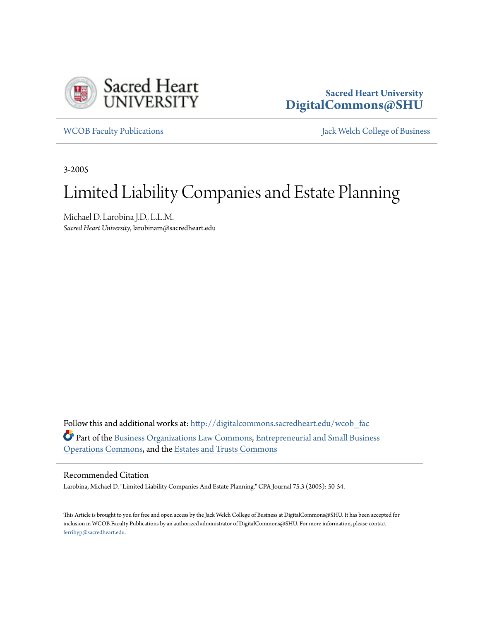

## **Sacred Heart University [DigitalCommons@SHU](http://digitalcommons.sacredheart.edu?utm_source=digitalcommons.sacredheart.edu%2Fwcob_fac%2F6&utm_medium=PDF&utm_campaign=PDFCoverPages)**

[WCOB Faculty Publications](http://digitalcommons.sacredheart.edu/wcob_fac?utm_source=digitalcommons.sacredheart.edu%2Fwcob_fac%2F6&utm_medium=PDF&utm_campaign=PDFCoverPages) [Jack Welch College of Business](http://digitalcommons.sacredheart.edu/wcob?utm_source=digitalcommons.sacredheart.edu%2Fwcob_fac%2F6&utm_medium=PDF&utm_campaign=PDFCoverPages)

3-2005

# Limited Liability Companies and Estate Planning

Michael D. Larobina J.D., L.L.M. *Sacred Heart University*, larobinam@sacredheart.edu

Follow this and additional works at: [http://digitalcommons.sacredheart.edu/wcob\\_fac](http://digitalcommons.sacredheart.edu/wcob_fac?utm_source=digitalcommons.sacredheart.edu%2Fwcob_fac%2F6&utm_medium=PDF&utm_campaign=PDFCoverPages) Part of the [Business Organizations Law Commons,](http://network.bepress.com/hgg/discipline/900?utm_source=digitalcommons.sacredheart.edu%2Fwcob_fac%2F6&utm_medium=PDF&utm_campaign=PDFCoverPages) [Entrepreneurial and Small Business](http://network.bepress.com/hgg/discipline/630?utm_source=digitalcommons.sacredheart.edu%2Fwcob_fac%2F6&utm_medium=PDF&utm_campaign=PDFCoverPages) [Operations Commons,](http://network.bepress.com/hgg/discipline/630?utm_source=digitalcommons.sacredheart.edu%2Fwcob_fac%2F6&utm_medium=PDF&utm_campaign=PDFCoverPages) and the [Estates and Trusts Commons](http://network.bepress.com/hgg/discipline/906?utm_source=digitalcommons.sacredheart.edu%2Fwcob_fac%2F6&utm_medium=PDF&utm_campaign=PDFCoverPages)

#### Recommended Citation

Larobina, Michael D. "Limited Liability Companies And Estate Planning." CPA Journal 75.3 (2005): 50-54.

This Article is brought to you for free and open access by the Jack Welch College of Business at DigitalCommons@SHU. It has been accepted for inclusion in WCOB Faculty Publications by an authorized administrator of DigitalCommons@SHU. For more information, please contact [ferribyp@sacredheart.edu](mailto:ferribyp@sacredheart.edu).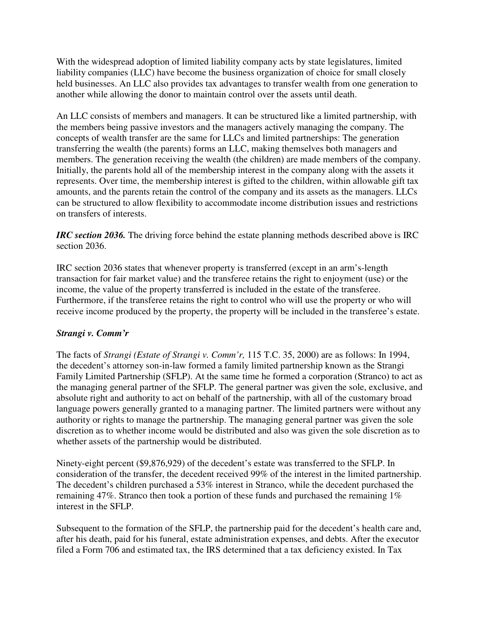With the widespread adoption of limited liability company acts by state legislatures, limited liability companies (LLC) have become the business organization of choice for small closely held businesses. An LLC also provides tax advantages to transfer wealth from one generation to another while allowing the donor to maintain control over the assets until death.

An LLC consists of members and managers. It can be structured like a limited partnership, with the members being passive investors and the managers actively managing the company. The concepts of wealth transfer are the same for LLCs and limited partnerships: The generation transferring the wealth (the parents) forms an LLC, making themselves both managers and members. The generation receiving the wealth (the children) are made members of the company. Initially, the parents hold all of the membership interest in the company along with the assets it represents. Over time, the membership interest is gifted to the children, within allowable gift tax amounts, and the parents retain the control of the company and its assets as the managers. LLCs can be structured to allow flexibility to accommodate income distribution issues and restrictions on transfers of interests.

*IRC section 2036.* The driving force behind the estate planning methods described above is IRC section 2036.

IRC section 2036 states that whenever property is transferred (except in an arm's-length transaction for fair market value) and the transferee retains the right to enjoyment (use) or the income, the value of the property transferred is included in the estate of the transferee. Furthermore, if the transferee retains the right to control who will use the property or who will receive income produced by the property, the property will be included in the transferee's estate.

### *Strangi v. Comm'r*

The facts of *Strangi (Estate of Strangi v. Comm'r,* 115 T.C. 35, 2000) are as follows: In 1994, the decedent's attorney son-in-law formed a family limited partnership known as the Strangi Family Limited Partnership (SFLP). At the same time he formed a corporation (Stranco) to act as the managing general partner of the SFLP. The general partner was given the sole, exclusive, and absolute right and authority to act on behalf of the partnership, with all of the customary broad language powers generally granted to a managing partner. The limited partners were without any authority or rights to manage the partnership. The managing general partner was given the sole discretion as to whether income would be distributed and also was given the sole discretion as to whether assets of the partnership would be distributed.

Ninety-eight percent (\$9,876,929) of the decedent's estate was transferred to the SFLP. In consideration of the transfer, the decedent received 99% of the interest in the limited partnership. The decedent's children purchased a 53% interest in Stranco, while the decedent purchased the remaining 47%. Stranco then took a portion of these funds and purchased the remaining 1% interest in the SFLP.

Subsequent to the formation of the SFLP, the partnership paid for the decedent's health care and, after his death, paid for his funeral, estate administration expenses, and debts. After the executor filed a Form 706 and estimated tax, the IRS determined that a tax deficiency existed. In Tax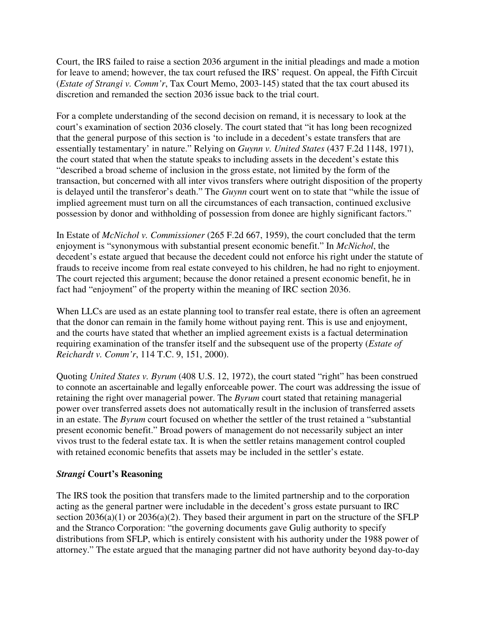Court, the IRS failed to raise a section 2036 argument in the initial pleadings and made a motion for leave to amend; however, the tax court refused the IRS' request. On appeal, the Fifth Circuit (*Estate of Strangi v. Comm'r*, Tax Court Memo, 2003-145) stated that the tax court abused its discretion and remanded the section 2036 issue back to the trial court.

For a complete understanding of the second decision on remand, it is necessary to look at the court's examination of section 2036 closely. The court stated that "it has long been recognized that the general purpose of this section is 'to include in a decedent's estate transfers that are essentially testamentary' in nature." Relying on *Guynn v. United States* (437 F.2d 1148, 1971), the court stated that when the statute speaks to including assets in the decedent's estate this "described a broad scheme of inclusion in the gross estate, not limited by the form of the transaction, but concerned with all inter vivos transfers where outright disposition of the property is delayed until the transferor's death." The *Guynn* court went on to state that "while the issue of implied agreement must turn on all the circumstances of each transaction, continued exclusive possession by donor and withholding of possession from donee are highly significant factors."

In Estate of *McNichol v. Commissioner* (265 F.2d 667, 1959), the court concluded that the term enjoyment is "synonymous with substantial present economic benefit." In *McNichol*, the decedent's estate argued that because the decedent could not enforce his right under the statute of frauds to receive income from real estate conveyed to his children, he had no right to enjoyment. The court rejected this argument; because the donor retained a present economic benefit, he in fact had "enjoyment" of the property within the meaning of IRC section 2036.

When LLCs are used as an estate planning tool to transfer real estate, there is often an agreement that the donor can remain in the family home without paying rent. This is use and enjoyment, and the courts have stated that whether an implied agreement exists is a factual determination requiring examination of the transfer itself and the subsequent use of the property (*Estate of Reichardt v. Comm'r*, 114 T.C. 9, 151, 2000).

Quoting *United States v. Byrum* (408 U.S. 12, 1972), the court stated "right" has been construed to connote an ascertainable and legally enforceable power. The court was addressing the issue of retaining the right over managerial power. The *Byrum* court stated that retaining managerial power over transferred assets does not automatically result in the inclusion of transferred assets in an estate. The *Byrum* court focused on whether the settler of the trust retained a "substantial present economic benefit." Broad powers of management do not necessarily subject an inter vivos trust to the federal estate tax. It is when the settler retains management control coupled with retained economic benefits that assets may be included in the settler's estate.

### *Strangi* **Court's Reasoning**

The IRS took the position that transfers made to the limited partnership and to the corporation acting as the general partner were includable in the decedent's gross estate pursuant to IRC section  $2036(a)(1)$  or  $2036(a)(2)$ . They based their argument in part on the structure of the SFLP and the Stranco Corporation: "the governing documents gave Gulig authority to specify distributions from SFLP, which is entirely consistent with his authority under the 1988 power of attorney." The estate argued that the managing partner did not have authority beyond day-to-day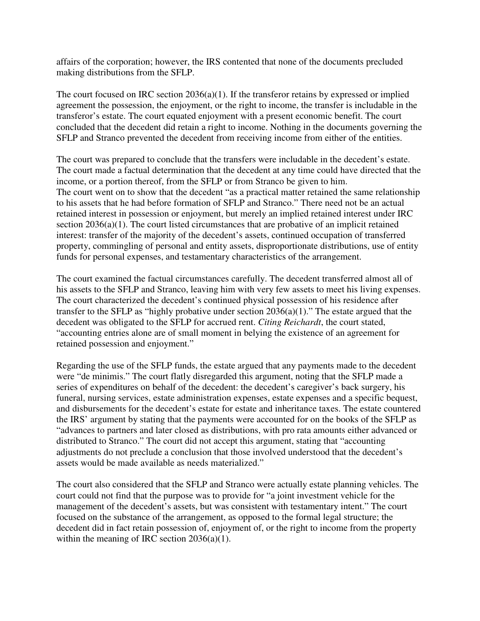affairs of the corporation; however, the IRS contented that none of the documents precluded making distributions from the SFLP.

The court focused on IRC section 2036(a)(1). If the transferor retains by expressed or implied agreement the possession, the enjoyment, or the right to income, the transfer is includable in the transferor's estate. The court equated enjoyment with a present economic benefit. The court concluded that the decedent did retain a right to income. Nothing in the documents governing the SFLP and Stranco prevented the decedent from receiving income from either of the entities.

The court was prepared to conclude that the transfers were includable in the decedent's estate. The court made a factual determination that the decedent at any time could have directed that the income, or a portion thereof, from the SFLP or from Stranco be given to him. The court went on to show that the decedent "as a practical matter retained the same relationship to his assets that he had before formation of SFLP and Stranco." There need not be an actual retained interest in possession or enjoyment, but merely an implied retained interest under IRC section 2036(a)(1). The court listed circumstances that are probative of an implicit retained interest: transfer of the majority of the decedent's assets, continued occupation of transferred property, commingling of personal and entity assets, disproportionate distributions, use of entity funds for personal expenses, and testamentary characteristics of the arrangement.

The court examined the factual circumstances carefully. The decedent transferred almost all of his assets to the SFLP and Stranco, leaving him with very few assets to meet his living expenses. The court characterized the decedent's continued physical possession of his residence after transfer to the SFLP as "highly probative under section 2036(a)(1)." The estate argued that the decedent was obligated to the SFLP for accrued rent. *Citing Reichardt*, the court stated, "accounting entries alone are of small moment in belying the existence of an agreement for retained possession and enjoyment."

Regarding the use of the SFLP funds, the estate argued that any payments made to the decedent were "de minimis." The court flatly disregarded this argument, noting that the SFLP made a series of expenditures on behalf of the decedent: the decedent's caregiver's back surgery, his funeral, nursing services, estate administration expenses, estate expenses and a specific bequest, and disbursements for the decedent's estate for estate and inheritance taxes. The estate countered the IRS' argument by stating that the payments were accounted for on the books of the SFLP as "advances to partners and later closed as distributions, with pro rata amounts either advanced or distributed to Stranco." The court did not accept this argument, stating that "accounting adjustments do not preclude a conclusion that those involved understood that the decedent's assets would be made available as needs materialized."

The court also considered that the SFLP and Stranco were actually estate planning vehicles. The court could not find that the purpose was to provide for "a joint investment vehicle for the management of the decedent's assets, but was consistent with testamentary intent." The court focused on the substance of the arrangement, as opposed to the formal legal structure; the decedent did in fact retain possession of, enjoyment of, or the right to income from the property within the meaning of IRC section 2036(a)(1).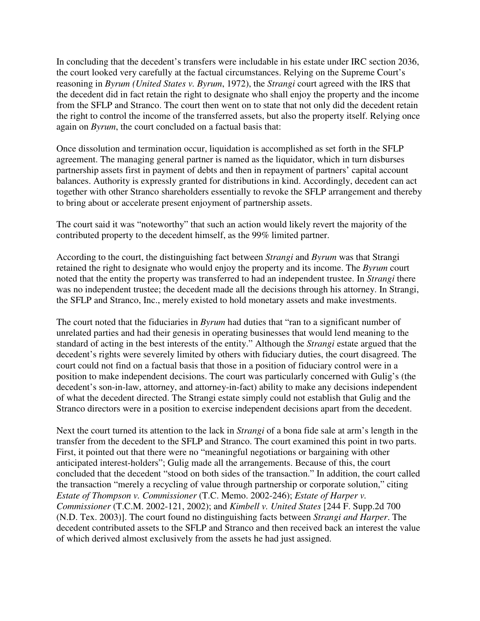In concluding that the decedent's transfers were includable in his estate under IRC section 2036, the court looked very carefully at the factual circumstances. Relying on the Supreme Court's reasoning in *Byrum (United States v. Byrum*, 1972), the *Strangi* court agreed with the IRS that the decedent did in fact retain the right to designate who shall enjoy the property and the income from the SFLP and Stranco. The court then went on to state that not only did the decedent retain the right to control the income of the transferred assets, but also the property itself. Relying once again on *Byrum*, the court concluded on a factual basis that:

Once dissolution and termination occur, liquidation is accomplished as set forth in the SFLP agreement. The managing general partner is named as the liquidator, which in turn disburses partnership assets first in payment of debts and then in repayment of partners' capital account balances. Authority is expressly granted for distributions in kind. Accordingly, decedent can act together with other Stranco shareholders essentially to revoke the SFLP arrangement and thereby to bring about or accelerate present enjoyment of partnership assets.

The court said it was "noteworthy" that such an action would likely revert the majority of the contributed property to the decedent himself, as the 99% limited partner.

According to the court, the distinguishing fact between *Strangi* and *Byrum* was that Strangi retained the right to designate who would enjoy the property and its income. The *Byrum* court noted that the entity the property was transferred to had an independent trustee. In *Strangi* there was no independent trustee; the decedent made all the decisions through his attorney. In Strangi, the SFLP and Stranco, Inc., merely existed to hold monetary assets and make investments.

The court noted that the fiduciaries in *Byrum* had duties that "ran to a significant number of unrelated parties and had their genesis in operating businesses that would lend meaning to the standard of acting in the best interests of the entity." Although the *Strangi* estate argued that the decedent's rights were severely limited by others with fiduciary duties, the court disagreed. The court could not find on a factual basis that those in a position of fiduciary control were in a position to make independent decisions. The court was particularly concerned with Gulig's (the decedent's son-in-law, attorney, and attorney-in-fact) ability to make any decisions independent of what the decedent directed. The Strangi estate simply could not establish that Gulig and the Stranco directors were in a position to exercise independent decisions apart from the decedent.

Next the court turned its attention to the lack in *Strangi* of a bona fide sale at arm's length in the transfer from the decedent to the SFLP and Stranco. The court examined this point in two parts. First, it pointed out that there were no "meaningful negotiations or bargaining with other anticipated interest-holders"; Gulig made all the arrangements. Because of this, the court concluded that the decedent "stood on both sides of the transaction." In addition, the court called the transaction "merely a recycling of value through partnership or corporate solution," citing *Estate of Thompson v. Commissioner* (T.C. Memo. 2002-246); *Estate of Harper v. Commissioner* (T.C.M. 2002-121, 2002); and *Kimbell v. United States* [244 F. Supp.2d 700 (N.D. Tex. 2003)]. The court found no distinguishing facts between *Strangi and Harper*. The decedent contributed assets to the SFLP and Stranco and then received back an interest the value of which derived almost exclusively from the assets he had just assigned.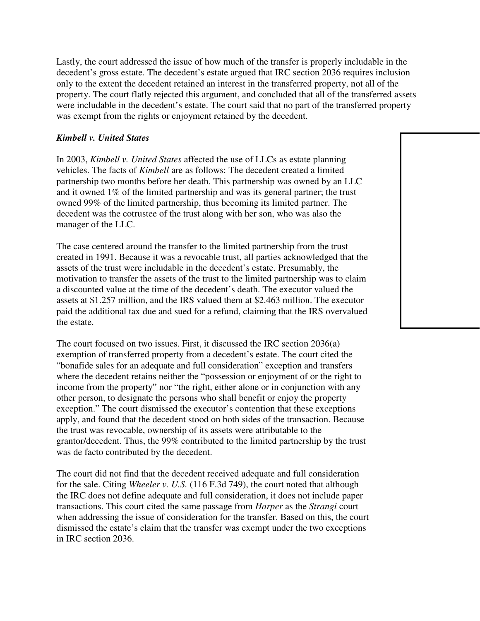Lastly, the court addressed the issue of how much of the transfer is properly includable in the decedent's gross estate. The decedent's estate argued that IRC section 2036 requires inclusion only to the extent the decedent retained an interest in the transferred property, not all of the property. The court flatly rejected this argument, and concluded that all of the transferred assets were includable in the decedent's estate. The court said that no part of the transferred property was exempt from the rights or enjoyment retained by the decedent.

#### *Kimbell v. United States*

In 2003, *Kimbell v. United States* affected the use of LLCs as estate planning vehicles. The facts of *Kimbell* are as follows: The decedent created a limited partnership two months before her death. This partnership was owned by an LLC and it owned 1% of the limited partnership and was its general partner; the trust owned 99% of the limited partnership, thus becoming its limited partner. The decedent was the cotrustee of the trust along with her son, who was also the manager of the LLC.

The case centered around the transfer to the limited partnership from the trust created in 1991. Because it was a revocable trust, all parties acknowledged that the assets of the trust were includable in the decedent's estate. Presumably, the motivation to transfer the assets of the trust to the limited partnership was to claim a discounted value at the time of the decedent's death. The executor valued the assets at \$1.257 million, and the IRS valued them at \$2.463 million. The executor paid the additional tax due and sued for a refund, claiming that the IRS overvalued the estate.

The court focused on two issues. First, it discussed the IRC section 2036(a) exemption of transferred property from a decedent's estate. The court cited the "bonafide sales for an adequate and full consideration" exception and transfers where the decedent retains neither the "possession or enjoyment of or the right to income from the property" nor "the right, either alone or in conjunction with any other person, to designate the persons who shall benefit or enjoy the property exception." The court dismissed the executor's contention that these exceptions apply, and found that the decedent stood on both sides of the transaction. Because the trust was revocable, ownership of its assets were attributable to the grantor/decedent. Thus, the 99% contributed to the limited partnership by the trust was de facto contributed by the decedent.

The court did not find that the decedent received adequate and full consideration for the sale. Citing *Wheeler v. U.S.* (116 F.3d 749), the court noted that although the IRC does not define adequate and full consideration, it does not include paper transactions. This court cited the same passage from *Harper* as the *Strangi* court when addressing the issue of consideration for the transfer. Based on this, the court dismissed the estate's claim that the transfer was exempt under the two exceptions in IRC section 2036.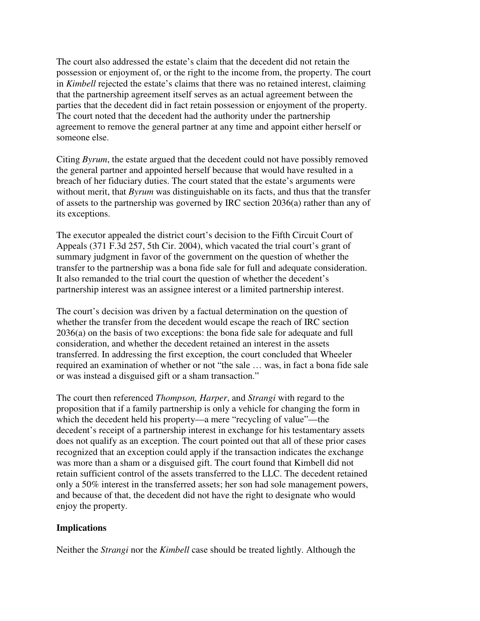The court also addressed the estate's claim that the decedent did not retain the possession or enjoyment of, or the right to the income from, the property. The court in *Kimbell* rejected the estate's claims that there was no retained interest, claiming that the partnership agreement itself serves as an actual agreement between the parties that the decedent did in fact retain possession or enjoyment of the property. The court noted that the decedent had the authority under the partnership agreement to remove the general partner at any time and appoint either herself or someone else.

Citing *Byrum*, the estate argued that the decedent could not have possibly removed the general partner and appointed herself because that would have resulted in a breach of her fiduciary duties. The court stated that the estate's arguments were without merit, that *Byrum* was distinguishable on its facts, and thus that the transfer of assets to the partnership was governed by IRC section 2036(a) rather than any of its exceptions.

The executor appealed the district court's decision to the Fifth Circuit Court of Appeals (371 F.3d 257, 5th Cir. 2004), which vacated the trial court's grant of summary judgment in favor of the government on the question of whether the transfer to the partnership was a bona fide sale for full and adequate consideration. It also remanded to the trial court the question of whether the decedent's partnership interest was an assignee interest or a limited partnership interest.

The court's decision was driven by a factual determination on the question of whether the transfer from the decedent would escape the reach of IRC section 2036(a) on the basis of two exceptions: the bona fide sale for adequate and full consideration, and whether the decedent retained an interest in the assets transferred. In addressing the first exception, the court concluded that Wheeler required an examination of whether or not "the sale … was, in fact a bona fide sale or was instead a disguised gift or a sham transaction."

The court then referenced *Thompson, Harper*, and *Strangi* with regard to the proposition that if a family partnership is only a vehicle for changing the form in which the decedent held his property—a mere "recycling of value"—the decedent's receipt of a partnership interest in exchange for his testamentary assets does not qualify as an exception. The court pointed out that all of these prior cases recognized that an exception could apply if the transaction indicates the exchange was more than a sham or a disguised gift. The court found that Kimbell did not retain sufficient control of the assets transferred to the LLC. The decedent retained only a 50% interest in the transferred assets; her son had sole management powers, and because of that, the decedent did not have the right to designate who would enjoy the property.

#### **Implications**

Neither the *Strangi* nor the *Kimbell* case should be treated lightly. Although the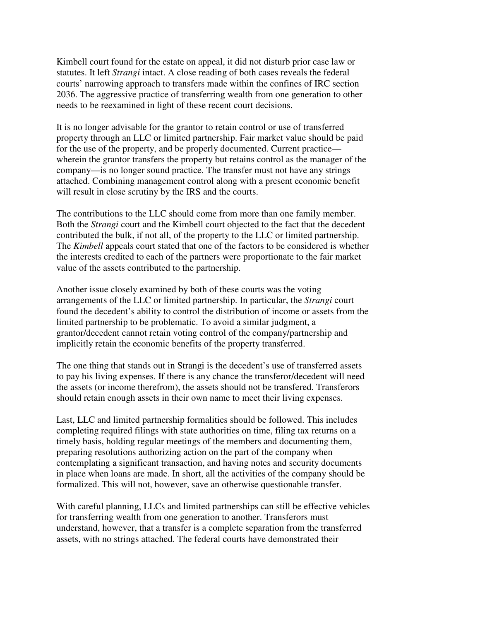Kimbell court found for the estate on appeal, it did not disturb prior case law or statutes. It left *Strangi* intact. A close reading of both cases reveals the federal courts' narrowing approach to transfers made within the confines of IRC section 2036. The aggressive practice of transferring wealth from one generation to other needs to be reexamined in light of these recent court decisions.

It is no longer advisable for the grantor to retain control or use of transferred property through an LLC or limited partnership. Fair market value should be paid for the use of the property, and be properly documented. Current practice wherein the grantor transfers the property but retains control as the manager of the company—is no longer sound practice. The transfer must not have any strings attached. Combining management control along with a present economic benefit will result in close scrutiny by the IRS and the courts.

The contributions to the LLC should come from more than one family member. Both the *Strangi* court and the Kimbell court objected to the fact that the decedent contributed the bulk, if not all, of the property to the LLC or limited partnership. The *Kimbell* appeals court stated that one of the factors to be considered is whether the interests credited to each of the partners were proportionate to the fair market value of the assets contributed to the partnership.

Another issue closely examined by both of these courts was the voting arrangements of the LLC or limited partnership. In particular, the *Strangi* court found the decedent's ability to control the distribution of income or assets from the limited partnership to be problematic. To avoid a similar judgment, a grantor/decedent cannot retain voting control of the company/partnership and implicitly retain the economic benefits of the property transferred.

The one thing that stands out in Strangi is the decedent's use of transferred assets to pay his living expenses. If there is any chance the transferor/decedent will need the assets (or income therefrom), the assets should not be transfered. Transferors should retain enough assets in their own name to meet their living expenses.

Last, LLC and limited partnership formalities should be followed. This includes completing required filings with state authorities on time, filing tax returns on a timely basis, holding regular meetings of the members and documenting them, preparing resolutions authorizing action on the part of the company when contemplating a significant transaction, and having notes and security documents in place when loans are made. In short, all the activities of the company should be formalized. This will not, however, save an otherwise questionable transfer.

With careful planning, LLCs and limited partnerships can still be effective vehicles for transferring wealth from one generation to another. Transferors must understand, however, that a transfer is a complete separation from the transferred assets, with no strings attached. The federal courts have demonstrated their